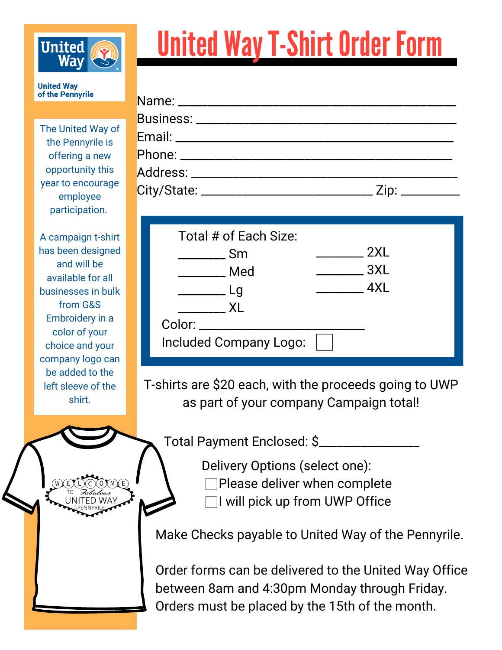

## **United Way T-Shirt Order Form**

**United Way** of the Pennyrile

The United Way of the Pennyrile is offering a new opportunity this year to encourage employee participation.

A campaign t-shirt has been designed and will be available for all businesses in bulk from G&S Embroidery in a color of your choice and your company logo can be added to the left sleeve of the shirt.

TO *Fabulous*<br>UNITED WAY

| Total # of Each Size:<br>2XL<br>_______ Sm<br>$\frac{1}{2}$ 3XL<br><b>Example Med</b><br>$\frac{1}{2}$ 4XL<br>$\overline{\phantom{a}}$ Lg<br>XL<br>Color: ________________<br>Included Company Logo: |  |
|------------------------------------------------------------------------------------------------------------------------------------------------------------------------------------------------------|--|

T-shirts are \$20 each, with the proceeds going to UWP as part of your company Campaign total!

Total Payment Enclosed: \$\_\_\_\_\_\_\_\_\_\_\_\_\_\_\_\_\_

Delivery Options (select one): Please deliver when complete I will pick up from UWP Office

Make Checks payable to United Way of the Pennyrile.

Order forms can be delivered to the United Way Office between 8am and 4:30pm Monday through Friday. Orders must be placed by the 15th of the month.